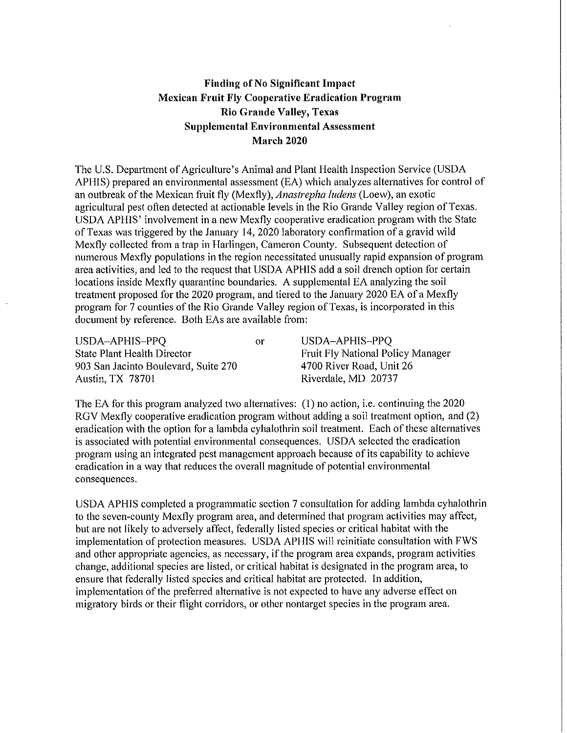## **Finding of No Significant Impact Mexican Fruit Fly Cooperative Eradication Program Rio Grande Valley, Texas Supplemental Environmental Assessment March 2020**

The U.S. Department of Agriculture's Animal and Plant Health Inspection Service (USDA APHIS) prepared an environmental assessment (EA) which analyzes alternatives for control of an outbreak of the Mexican fruit fly (Mexfly), *Anastrepha ludens* (Loew), an exotic agricultural pest often detected at actionable levels in the Rio Grande Valley region of Texas. USDA APHIS' involvement in a new Mexfly cooperative eradication program with the State of Texas was triggered by the January 14, 2020 laboratory confirmation of a gravid wild Mexfly collected from a trap in Harlingen, Cameron County. Subsequent detection of numerous Mexfly populations in the region necessitated unusually rapid expansion of program area activities, and led to the request that USDA APHIS add a soil drench option for certain locations inside Mexfly quarantine boundaries. A supplemental EA analyzing the soil treatment proposed for the 2020 program, and tiered to the January 2020 EA of a Mexfly program for 7 counties of the Rio Grande Valley region of Texas, is incorporated in this document by reference. Both EAs are available from:

USDA-APHIS-PPQ State Plant Health Director 903 San Jacinto Boulevard, Suite 270 Austin, TX 78701

or USDA-APHIS-PPQ Fruit Fly National Policy Manager 4700 River Road, Unit 26 Riverdale, MD 20737

The EA for this program analyzed two alternatives: (I) no action, i.e. continuing the 2020 RGV Mexfly cooperative eradication program without adding a soil treatment option, and (2) eradication with the option for a lambda cyhalothrin soil treatment. Each of these alternatives is associated with potential environmental consequences. USDA selected the eradication program using an integrated pest management approach because of its capability to achieve eradication in a way that reduces the overall magnitude of potential environmental consequences.

USDA APHIS completed a programmatic section 7 consultation for adding lambda cyhalothrin to the seven-county Mexfly program area, and determined that program activities may affect, but are not likely to adversely affect, federally listed species or critical habitat with the implementation of protection measures. USDA APHlS will reinitiate consultation with FWS and other appropriate agencies, as necessary, if the program area expands, program activities change, additional species are listed, or critical habitat is designated in the program area, to ensure that federally listed species and critical habitat are protected. In addition, implementation of the preferred alternative is not expected to have any adverse effect on migratory birds or their flight corridors, or other nontarget species in the program area.